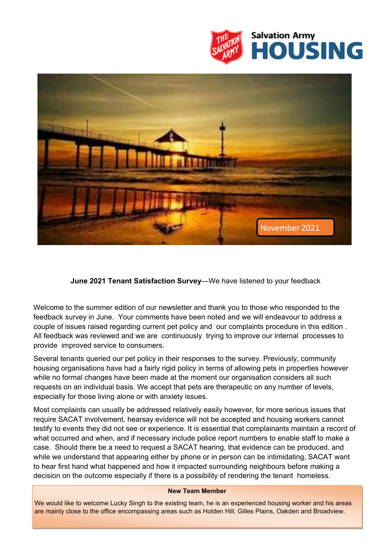



**June 2021 Tenant Satisfaction Survey**—We have listened to your feedback

Welcome to the summer edition of our newsletter and thank you to those who responded to the feedback survey in June. Your comments have been noted and we will endeavour to address a couple of issues raised regarding current pet policy and our complaints procedure in this edition . All feedback was reviewed and we are continuously trying to improve our internal processes to provide improved service to consumers.

Several tenants queried our pet policy in their responses to the survey. Previously, community housing organisations have had a fairly rigid policy in terms of allowing pets in properties however while no formal changes have been made at the moment our organisation considers all such requests on an individual basis. We accept that pets are therapeutic on any number of levels, especially for those living alone or with anxiety issues.

Most complaints can usually be addressed relatively easily however, for more serious issues that require SACAT involvement, hearsay evidence will not be accepted and housing workers cannot testify to events they did not see or experience. It is essential that complainants maintain a record of what occurred and when, and if necessary include police report numbers to enable staff to make a case. Should there be a need to request a SACAT hearing, that evidence can be produced, and while we understand that appearing either by phone or in person can be intimidating, SACAT want to hear first hand what happened and how it impacted surrounding neighbours before making a decision on the outcome especially if there is a possibility of rendering the tenant homeless.

#### **New Team Member**

We would like to welcome Lucky Singh to the existing team, he is an experienced housing worker and his areas are mainly close to the office encompassing areas such as Holden Hill, Gilles Plains, Oakden and Broadview.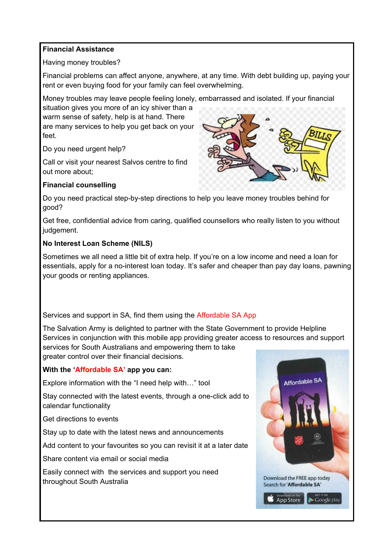## **Financial Assistance**

Having money troubles?

Financial problems can affect anyone, anywhere, at any time. With debt building up, paying your rent or even buying food for your family can feel overwhelming.

Money troubles may leave people feeling lonely, embarrassed and isolated. If your financial

situation gives you more of an icy shiver than a warm sense of safety, help is at hand. There are many services to help you get back on your feet.

Do you need urgent help?

Call or visit your nearest Salvos centre to find out more about;

# **Financial counselling**



Do you need practical step-by-step directions to help you leave money troubles behind for good?

Get free, confidential advice from caring, qualified counsellors who really listen to you without judgement.

### **No Interest Loan Scheme (NILS)**

Sometimes we all need a little bit of extra help. If you're on a low income and need a loan for essentials, apply for a no-interest loan today. It's safer and cheaper than pay day loans, pawning your goods or renting appliances.

# Services and support in SA, find them using the Affordable SA App

The Salvation Army is delighted to partner with the State Government to provide Helpline Services in conjunction with this mobile app providing greater access to resources and support services for South Australians and empowering them to take greater control over their financial decisions.

# **With the 'Affordable SA' app you can:**

Explore information with the "I need help with…" tool

Stay connected with the latest events, through a one-click add to calendar functionality

Get directions to events

Stay up to date with the latest news and announcements

Add content to your favourites so you can revisit it at a later date

Share content via email or social media

Easily connect with the services and support you need throughout South Australia

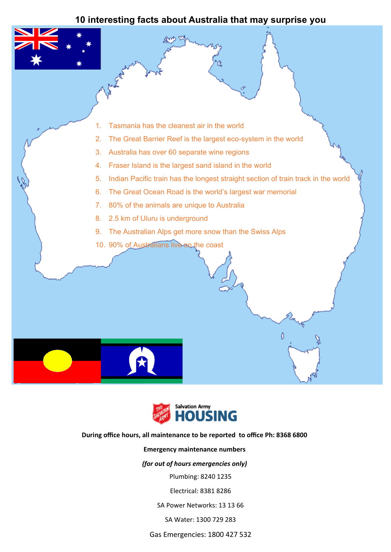# **10 interesting facts about Australia that may surprise you**





### **During office hours, all maintenance to be reported to office Ph: 8368 6800**

### **Emergency maintenance numbers**

### *(for out of hours emergencies only)*

Plumbing: 8240 1235

Electrical: 8381 8286

SA Power Networks: 13 13 66

SA Water: 1300 729 283

Gas Emergencies: 1800 427 532